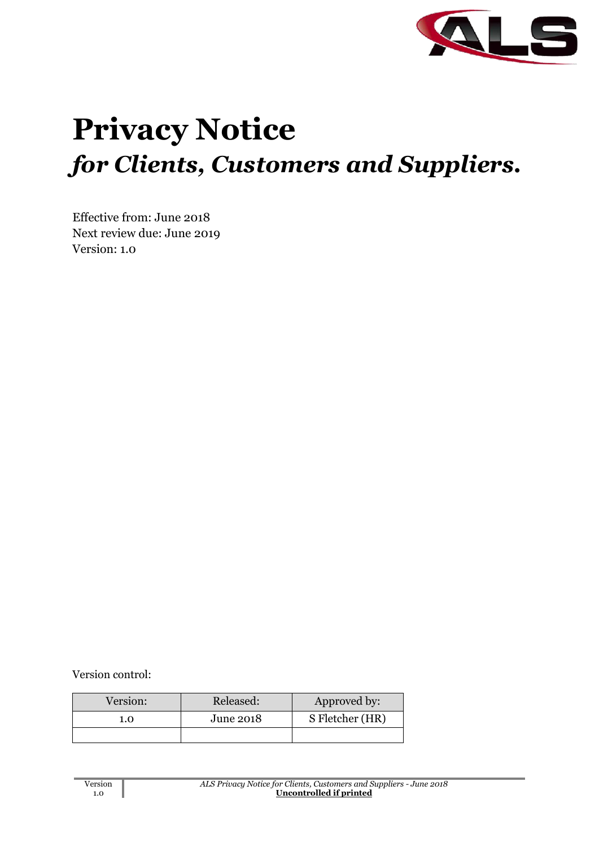

# **Privacy Notice** *for Clients, Customers and Suppliers.*

Effective from: June 2018 Next review due: June 2019 Version: 1.0

Version control:

| Version: | Released: | Approved by:    |  |
|----------|-----------|-----------------|--|
| 1.0      | June 2018 | S Fletcher (HR) |  |
|          |           |                 |  |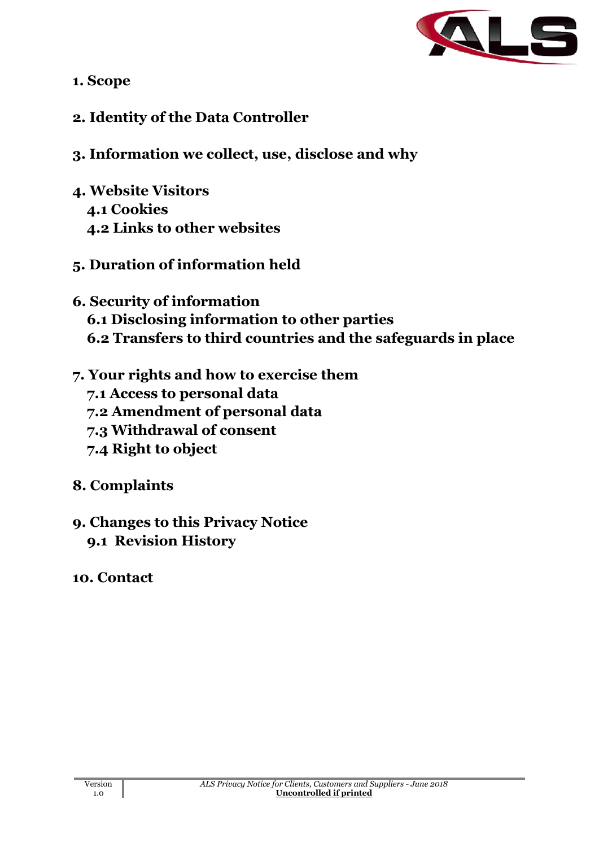

- **1. Scope**
- **2. Identity of the Data Controller**
- **3. Information we collect, use, disclose and why**
- **4. Website Visitors 4.1 Cookies 4.2 Links to other websites**
- **5. Duration of information held**
- **6. Security of information 6.1 Disclosing information to other parties 6.2 Transfers to third countries and the safeguards in place**
- **7. Your rights and how to exercise them**
	- **7.1 Access to personal data**
	- **7.2 Amendment of personal data**
	- **7.3 Withdrawal of consent**
	- **7.4 Right to object**
- **8. Complaints**
- **9. Changes to this Privacy Notice 9.1 Revision History**
- **10. Contact**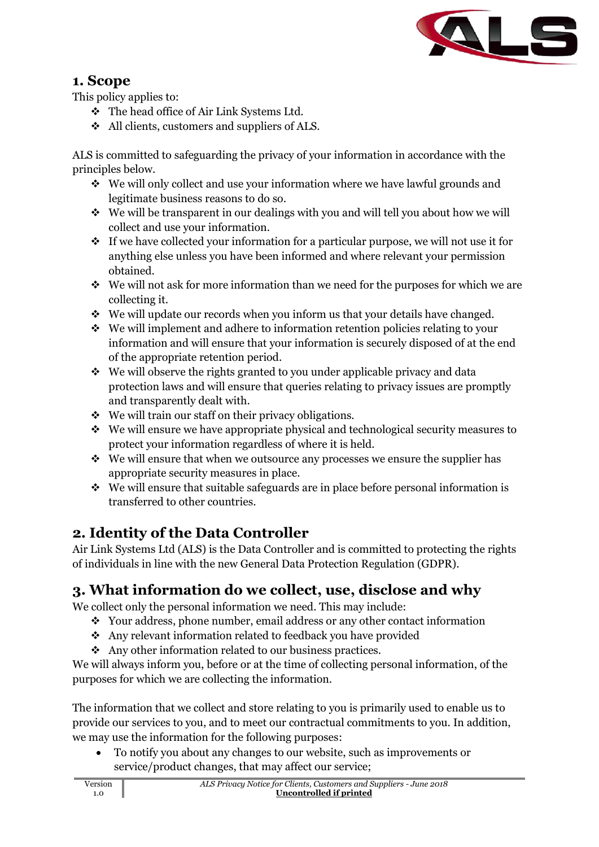

#### **1. Scope**

This policy applies to:

- ❖ The head office of Air Link Systems Ltd.
- ❖ All clients, customers and suppliers of ALS.

ALS is committed to safeguarding the privacy of your information in accordance with the principles below.

- ❖ We will only collect and use your information where we have lawful grounds and legitimate business reasons to do so.
- ❖ We will be transparent in our dealings with you and will tell you about how we will collect and use your information.
- ❖ If we have collected your information for a particular purpose, we will not use it for anything else unless you have been informed and where relevant your permission obtained.
- ❖ We will not ask for more information than we need for the purposes for which we are collecting it.
- ❖ We will update our records when you inform us that your details have changed.
- ❖ We will implement and adhere to information retention policies relating to your information and will ensure that your information is securely disposed of at the end of the appropriate retention period.
- ❖ We will observe the rights granted to you under applicable privacy and data protection laws and will ensure that queries relating to privacy issues are promptly and transparently dealt with.
- ❖ We will train our staff on their privacy obligations.
- ❖ We will ensure we have appropriate physical and technological security measures to protect your information regardless of where it is held.
- ❖ We will ensure that when we outsource any processes we ensure the supplier has appropriate security measures in place.
- ❖ We will ensure that suitable safeguards are in place before personal information is transferred to other countries.

## **2. Identity of the Data Controller**

1.0

Air Link Systems Ltd (ALS) is the Data Controller and is committed to protecting the rights of individuals in line with the new General Data Protection Regulation (GDPR).

## **3. What information do we collect, use, disclose and why**

We collect only the personal information we need. This may include:

- ❖ Your address, phone number, email address or any other contact information
- ❖ Any relevant information related to feedback you have provided
- ❖ Any other information related to our business practices.

We will always inform you, before or at the time of collecting personal information, of the purposes for which we are collecting the information.

The information that we collect and store relating to you is primarily used to enable us to provide our services to you, and to meet our contractual commitments to you. In addition, we may use the information for the following purposes:

• To notify you about any changes to our website, such as improvements or service/product changes, that may affect our service;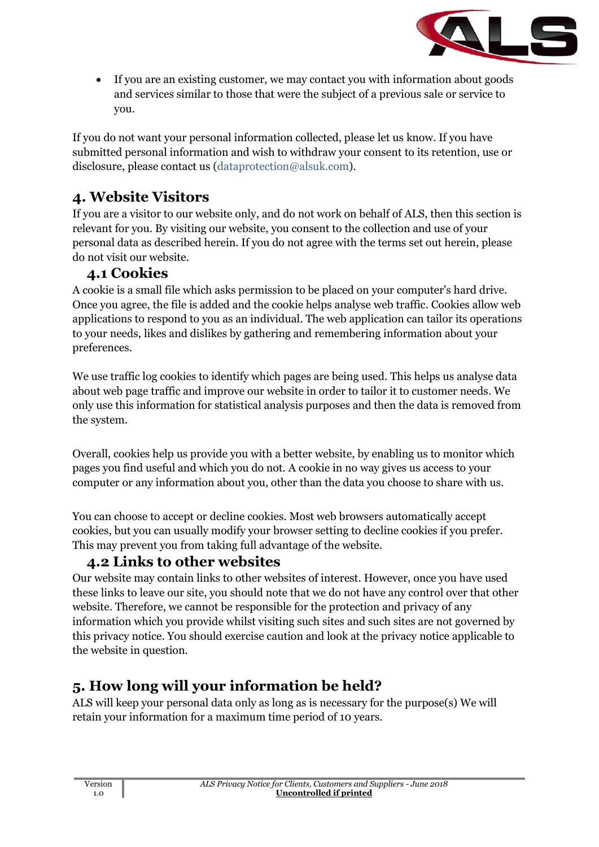

• If you are an existing customer, we may contact you with information about goods and services similar to those that were the subject of a previous sale or service to you.

If you do not want your personal information collected, please let us know. If you have submitted personal information and wish to withdraw your consent to its retention, use or disclosure, please contact us [\(dataprotection@alsuk.com\)](mailto:dataprotection@alsuk.com).

### **4. Website Visitors**

If you are a visitor to our website only, and do not work on behalf of ALS, then this section is relevant for you. By visiting our website, you consent to the collection and use of your personal data as described herein. If you do not agree with the terms set out herein, please do not visit our website.

#### **4.1 Cookies**

A cookie is a small file which asks permission to be placed on your computer's hard drive. Once you agree, the file is added and the cookie helps analyse web traffic. Cookies allow web applications to respond to you as an individual. The web application can tailor its operations to your needs, likes and dislikes by gathering and remembering information about your preferences.

We use traffic log cookies to identify which pages are being used. This helps us analyse data about web page traffic and improve our website in order to tailor it to customer needs. We only use this information for statistical analysis purposes and then the data is removed from the system.

Overall, cookies help us provide you with a better website, by enabling us to monitor which pages you find useful and which you do not. A cookie in no way gives us access to your computer or any information about you, other than the data you choose to share with us.

You can choose to accept or decline cookies. Most web browsers automatically accept cookies, but you can usually modify your browser setting to decline cookies if you prefer. This may prevent you from taking full advantage of the website.

#### **4.2 Links to other websites**

Our website may contain links to other websites of interest. However, once you have used these links to leave our site, you should note that we do not have any control over that other website. Therefore, we cannot be responsible for the protection and privacy of any information which you provide whilst visiting such sites and such sites are not governed by this privacy notice. You should exercise caution and look at the privacy notice applicable to the website in question.

## **5. How long will your information be held?**

ALS will keep your personal data only as long as is necessary for the purpose(s) We will retain your information for a maximum time period of 10 years.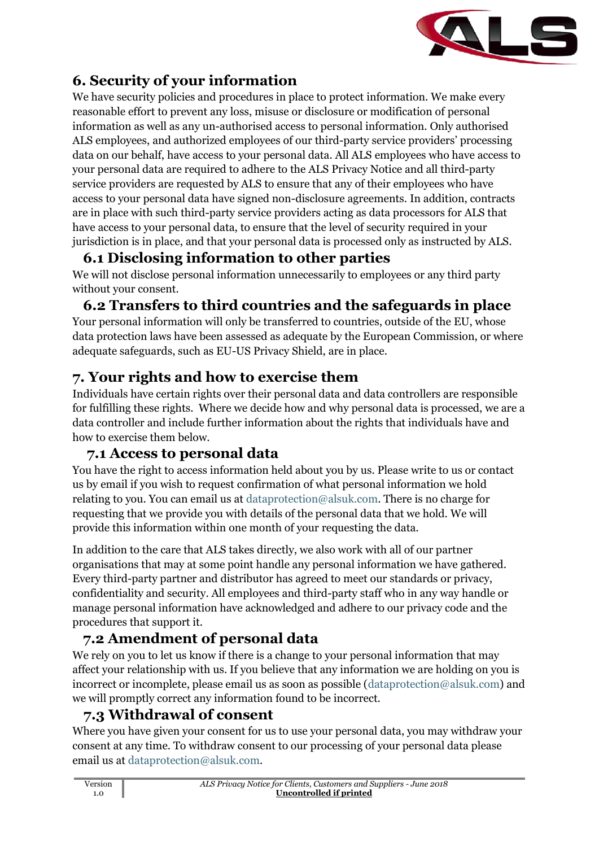

## **6. Security of your information**

We have security policies and procedures in place to protect information. We make every reasonable effort to prevent any loss, misuse or disclosure or modification of personal information as well as any un-authorised access to personal information. Only authorised ALS employees, and authorized employees of our third-party service providers' processing data on our behalf, have access to your personal data. All ALS employees who have access to your personal data are required to adhere to the ALS Privacy Notice and all third-party service providers are requested by ALS to ensure that any of their employees who have access to your personal data have signed non-disclosure agreements. In addition, contracts are in place with such third-party service providers acting as data processors for ALS that have access to your personal data, to ensure that the level of security required in your jurisdiction is in place, and that your personal data is processed only as instructed by ALS.

## **6.1 Disclosing information to other parties**

We will not disclose personal information unnecessarily to employees or any third party without your consent.

# **6.2 Transfers to third countries and the safeguards in place**

Your personal information will only be transferred to countries, outside of the EU, whose data protection laws have been assessed as adequate by the European Commission, or where adequate safeguards, such as EU-US Privacy Shield, are in place.

# **7. Your rights and how to exercise them**

Individuals have certain rights over their personal data and data controllers are responsible for fulfilling these rights. Where we decide how and why personal data is processed, we are a data controller and include further information about the rights that individuals have and how to exercise them below.

#### **7.1 Access to personal data**

You have the right to access information held about you by us. Please write to us or contact us by email if you wish to request confirmation of what personal information we hold relating to you. You can email us at [dataprotection@alsuk.com.](mailto:dataprotection@alsuk.com) There is no charge for requesting that we provide you with details of the personal data that we hold. We will provide this information within one month of your requesting the data.

In addition to the care that ALS takes directly, we also work with all of our partner organisations that may at some point handle any personal information we have gathered. Every third-party partner and distributor has agreed to meet our standards or privacy, confidentiality and security. All employees and third-party staff who in any way handle or manage personal information have acknowledged and adhere to our privacy code and the procedures that support it.

## **7.2 Amendment of personal data**

We rely on you to let us know if there is a change to your personal information that may affect your relationship with us. If you believe that any information we are holding on you is incorrect or incomplete, please email us as soon as possible [\(dataprotection@alsuk.com\)](mailto:dataprotection@alsuk.com) and we will promptly correct any information found to be incorrect.

## **7.3 Withdrawal of consent**

Where you have given your consent for us to use your personal data, you may withdraw your consent at any time. To withdraw consent to our processing of your personal data please email us at [dataprotection@alsuk.com.](mailto:dataprotection@alsuk.com)

| Version | ALS Privacy Notice for Clients, Customers and Suppliers - June 2018 |
|---------|---------------------------------------------------------------------|
| 1.0     | Uncontrolled if printed                                             |
|         |                                                                     |